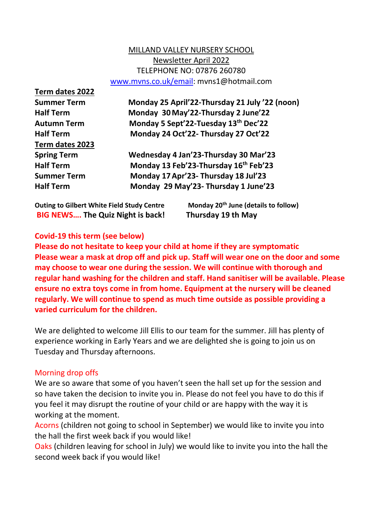# MILLAND VALLEY NURSERY SCHOOL Newsletter April 2022 TELEPHONE NO: 07876 260780 [www.mvns.co.uk/email:](http://www.mvns.co.uk/email) mvns1@hotmail.com

**Term dates 2022 Term dates 2023**

**Summer Term Monday 25 April'22-Thursday 21 July '22 (noon) Half Term Monday 30May'22-Thursday 2 June'22 Autumn Term Monday 5 Sept'22-Tuesday 13th Dec'22 Half Term Monday 24 Oct'22- Thursday 27 Oct'22**

**Spring Term Wednesday 4 Jan'23-Thursday 30 Mar'23 Half Term Monday 13 Feb'23-Thursday 16th Feb'23 Summer Term Monday 17Apr'23- Thursday 18 Jul'23 Half Term Monday 29 May'23- Thursday 1 June'23**

**Outing to Gilbert White Field Study Centre Monday 20th June (details to follow) BIG NEWS…. The Quiz Night is back! Thursday 19 th May**

# **Covid-19 this term (see below)**

**Please do not hesitate to keep your child at home if they are symptomatic Please wear a mask at drop off and pick up. Staff will wear one on the door and some may choose to wear one during the session. We will continue with thorough and regular hand washing for the children and staff. Hand sanitiser will be available. Please ensure no extra toys come in from home. Equipment at the nursery will be cleaned regularly. We will continue to spend as much time outside as possible providing a varied curriculum for the children.**

We are delighted to welcome Jill Ellis to our team for the summer. Jill has plenty of experience working in Early Years and we are delighted she is going to join us on Tuesday and Thursday afternoons.

# Morning drop offs

We are so aware that some of you haven't seen the hall set up for the session and so have taken the decision to invite you in. Please do not feel you have to do this if you feel it may disrupt the routine of your child or are happy with the way it is working at the moment.

Acorns (children not going to school in September) we would like to invite you into the hall the first week back if you would like!

Oaks (children leaving for school in July) we would like to invite you into the hall the second week back if you would like!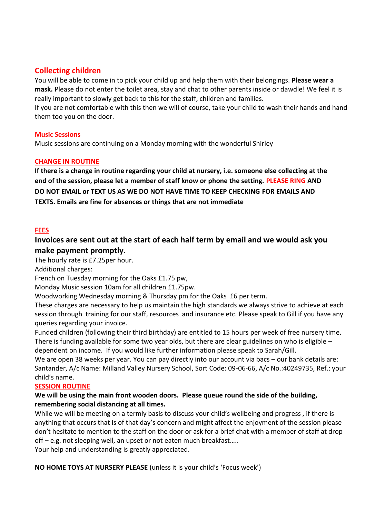# **Collecting children**

You will be able to come in to pick your child up and help them with their belongings. **Please wear a mask.** Please do not enter the toilet area, stay and chat to other parents inside or dawdle! We feel it is really important to slowly get back to this for the staff, children and families.

If you are not comfortable with this then we will of course, take your child to wash their hands and hand them too you on the door.

### **Music Sessions**

Music sessions are continuing on a Monday morning with the wonderful Shirley

### **CHANGE IN ROUTINE**

**If there is a change in routine regarding your child at nursery, i.e. someone else collecting at the end of the session, please let a member of staff know or phone the setting. PLEASE RING AND DO NOT EMAIL or TEXT US AS WE DO NOT HAVE TIME TO KEEP CHECKING FOR EMAILS AND TEXTS. Emails are fine for absences or things that are not immediate**

### **FEES**

## **Invoices are sent out at the start of each half term by email and we would ask you make payment promptly**.

The hourly rate is £7.25per hour.

Additional charges:

French on Tuesday morning for the Oaks £1.75 pw,

Monday Music session 10am for all children £1.75pw.

Woodworking Wednesday morning & Thursday pm for the Oaks £6 per term.

These charges are necessary to help us maintain the high standards we always strive to achieve at each session through training for our staff, resources and insurance etc. Please speak to Gill if you have any queries regarding your invoice.

Funded children (following their third birthday) are entitled to 15 hours per week of free nursery time. There is funding available for some two year olds, but there are clear guidelines on who is eligible  $-$ 

dependent on income. If you would like further information please speak to Sarah/Gill.

We are open 38 weeks per year. You can pay directly into our account via bacs – our bank details are: Santander, A/c Name: Milland Valley Nursery School, Sort Code: 09-06-66, A/c No.:40249735, Ref.: your child's name.

### **SESSION ROUTINE**

### **We will be using the main front wooden doors. Please queue round the side of the building, remembering social distancing at all times.**

While we will be meeting on a termly basis to discuss your child's wellbeing and progress , if there is anything that occurs that is of that day's concern and might affect the enjoyment of the session please don't hesitate to mention to the staff on the door or ask for a brief chat with a member of staff at drop off – e.g. not sleeping well, an upset or not eaten much breakfast…..

Your help and understanding is greatly appreciated.

**NO HOME TOYS AT NURSERY PLEASE** (unless it is your child's 'Focus week')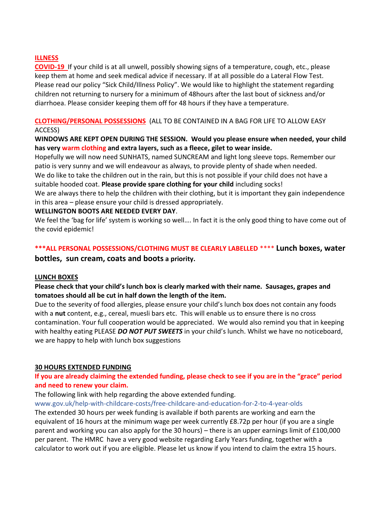### **ILLNESS**

**COVID-19** If your child is at all unwell, possibly showing signs of a temperature, cough, etc., please keep them at home and seek medical advice if necessary. If at all possible do a Lateral Flow Test. Please read our policy "Sick Child/Illness Policy". We would like to highlight the statement regarding children not returning to nursery for a minimum of 48hours after the last bout of sickness and/or diarrhoea. Please consider keeping them off for 48 hours if they have a temperature.

## **CLOTHING/PERSONAL POSSESSIONS** (ALL TO BE CONTAINED IN A BAG FOR LIFE TO ALLOW EASY ACCESS)

## **WINDOWS ARE KEPT OPEN DURING THE SESSION. Would you please ensure when needed, your child has very warm clothing and extra layers, such as a fleece, gilet to wear inside.**

Hopefully we will now need SUNHATS, named SUNCREAM and light long sleeve tops. Remember our patio is very sunny and we will endeavour as always, to provide plenty of shade when needed.

We do like to take the children out in the rain, but this is not possible if your child does not have a suitable hooded coat. **Please provide spare clothing for your child** including socks!

We are always there to help the children with their clothing, but it is important they gain independence in this area – please ensure your child is dressed appropriately.

### **WELLINGTON BOOTS ARE NEEDED EVERY DAY**.

We feel the 'bag for life' system is working so well.... In fact it is the only good thing to have come out of the covid epidemic!

# **\*\*\*ALL PERSONAL POSSESSIONS/CLOTHING MUST BE CLEARLY LABELLED** \*\*\*\* **Lunch boxes, water bottles, sun cream, coats and boots a priority.**

### **LUNCH BOXES**

### **Please check that your child's lunch box is clearly marked with their name. Sausages, grapes and tomatoes should all be cut in half down the length of the item.**

Due to the severity of food allergies, please ensure your child's lunch box does not contain any foods with a **nut** content, e.g., cereal, muesli bars etc. This will enable us to ensure there is no cross contamination. Your full cooperation would be appreciated. We would also remind you that in keeping with healthy eating PLEASE *DO NOT PUT SWEETS* in your child's lunch. Whilst we have no noticeboard, we are happy to help with lunch box suggestions

### **30 HOURS EXTENDED FUNDING**

## **If you are already claiming the extended funding, please check to see if you are in the "grace" period and need to renew your claim.**

The following link with help regarding the above extended funding.

### www.gov.uk/help-with-childcare-costs/free-childcare-and-education-for-2-to-4-year-olds

The extended 30 hours per week funding is available if both parents are working and earn the equivalent of 16 hours at the minimum wage per week currently £8.72p per hour (if you are a single parent and working you can also apply for the 30 hours) – there is an upper earnings limit of £100,000 per parent. The HMRC have a very good website regarding Early Years funding, together with a calculator to work out if you are eligible. Please let us know if you intend to claim the extra 15 hours.